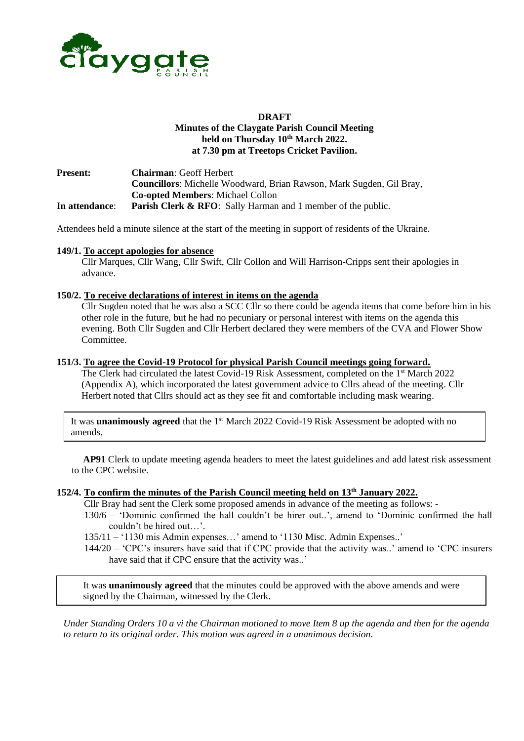

#### **DRAFT Minutes of the Claygate Parish Council Meeting held on Thursday 10th March 2022. at 7.30 pm at Treetops Cricket Pavilion.**

**Present: Chairman**: Geoff Herbert **Councillors**: Michelle Woodward, Brian Rawson, Mark Sugden, Gil Bray, **Co-opted Members**: Michael Collon **In attendance**: **Parish Clerk & RFO**: Sally Harman and 1 member of the public.

Attendees held a minute silence at the start of the meeting in support of residents of the Ukraine.

#### **149/1. To accept apologies for absence**

Cllr Marques, Cllr Wang, Cllr Swift, Cllr Collon and Will Harrison-Cripps sent their apologies in advance.

#### **150/2. To receive declarations of interest in items on the agenda**

Cllr Sugden noted that he was also a SCC Cllr so there could be agenda items that come before him in his other role in the future, but he had no pecuniary or personal interest with items on the agenda this evening. Both Cllr Sugden and Cllr Herbert declared they were members of the CVA and Flower Show Committee.

#### **151/3. To agree the Covid-19 Protocol for physical Parish Council meetings going forward.**

The Clerk had circulated the latest Covid-19 Risk Assessment, completed on the 1<sup>st</sup> March 2022 (Appendix A), which incorporated the latest government advice to Cllrs ahead of the meeting. Cllr Herbert noted that Cllrs should act as they see fit and comfortable including mask wearing.

It was **unanimously agreed** that the 1<sup>st</sup> March 2022 Covid-19 Risk Assessment be adopted with no amends.

 **AP91** Clerk to update meeting agenda headers to meet the latest guidelines and add latest risk assessment to the CPC website.

#### **152/4. To confirm the minutes of the Parish Council meeting held on 13th January 2022.**

Cllr Bray had sent the Clerk some proposed amends in advance of the meeting as follows: -

130/6 – 'Dominic confirmed the hall couldn't be hirer out..', amend to 'Dominic confirmed the hall couldn't be hired out…'.

135/11 – '1130 mis Admin expenses…' amend to '1130 Misc. Admin Expenses..'

144/20 – 'CPC's insurers have said that if CPC provide that the activity was..' amend to 'CPC insurers have said that if CPC ensure that the activity was..'

It was **unanimously agreed** that the minutes could be approved with the above amends and were signed by the Chairman, witnessed by the Clerk.

*Under Standing Orders 10 a vi the Chairman motioned to move Item 8 up the agenda and then for the agenda to return to its original order. This motion was agreed in a unanimous decision.*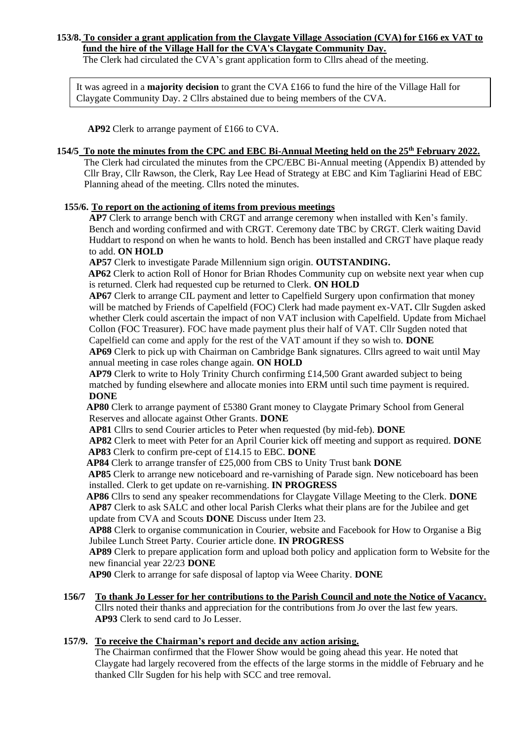#### **153/8. To consider a grant application from the Claygate Village Association (CVA) for £166 ex VAT to fund the hire of the Village Hall for the CVA's Claygate Community Day.**

The Clerk had circulated the CVA's grant application form to Cllrs ahead of the meeting.

It was agreed in a **majority decision** to grant the CVA £166 to fund the hire of the Village Hall for Claygate Community Day. 2 Cllrs abstained due to being members of the CVA.

 **AP92** Clerk to arrange payment of £166 to CVA.

### **154/5 To note the minutes from the CPC and EBC Bi-Annual Meeting held on the 25th February 2022.**

The Clerk had circulated the minutes from the CPC/EBC Bi-Annual meeting (Appendix B) attended by Cllr Bray, Cllr Rawson, the Clerk, Ray Lee Head of Strategy at EBC and Kim Tagliarini Head of EBC Planning ahead of the meeting. Cllrs noted the minutes.

### **155/6. To report on the actioning of items from previous meetings**

**AP7** Clerk to arrange bench with CRGT and arrange ceremony when installed with Ken's family. Bench and wording confirmed and with CRGT. Ceremony date TBC by CRGT. Clerk waiting David Huddart to respond on when he wants to hold. Bench has been installed and CRGT have plaque ready to add. **ON HOLD**

**AP57** Clerk to investigate Parade Millennium sign origin. **OUTSTANDING.**

 **AP62** Clerk to action Roll of Honor for Brian Rhodes Community cup on website next year when cup is returned. Clerk had requested cup be returned to Clerk. **ON HOLD**

**AP67** Clerk to arrange CIL payment and letter to Capelfield Surgery upon confirmation that money will be matched by Friends of Capelfield (FOC) Clerk had made payment ex-VAT**.** Cllr Sugden asked whether Clerk could ascertain the impact of non VAT inclusion with Capelfield. Update from Michael Collon (FOC Treasurer). FOC have made payment plus their half of VAT. Cllr Sugden noted that Capelfield can come and apply for the rest of the VAT amount if they so wish to. **DONE**

**AP69** Clerk to pick up with Chairman on Cambridge Bank signatures. Cllrs agreed to wait until May annual meeting in case roles change again. **ON HOLD**

**AP79** Clerk to write to Holy Trinity Church confirming £14,500 Grant awarded subject to being matched by funding elsewhere and allocate monies into ERM until such time payment is required. **DONE**

 **AP80** Clerk to arrange payment of £5380 Grant money to Claygate Primary School from General Reserves and allocate against Other Grants. **DONE**

**AP81** Cllrs to send Courier articles to Peter when requested (by mid-feb). **DONE**

**AP82** Clerk to meet with Peter for an April Courier kick off meeting and support as required. **DONE AP83** Clerk to confirm pre-cept of £14.15 to EBC. **DONE**

 **AP84** Clerk to arrange transfer of £25,000 from CBS to Unity Trust bank **DONE**

 **AP85** Clerk to arrange new noticeboard and re-varnishing of Parade sign. New noticeboard has been installed. Clerk to get update on re-varnishing. **IN PROGRESS**

**AP86** Cllrs to send any speaker recommendations for Claygate Village Meeting to the Clerk. **DONE AP87** Clerk to ask SALC and other local Parish Clerks what their plans are for the Jubilee and get update from CVA and Scouts **DONE** Discuss under Item 23.

**AP88** Clerk to organise communication in Courier, website and Facebook for How to Organise a Big Jubilee Lunch Street Party. Courier article done. **IN PROGRESS**

**AP89** Clerk to prepare application form and upload both policy and application form to Website for the new financial year 22/23 **DONE**

 **AP90** Clerk to arrange for safe disposal of laptop via Weee Charity. **DONE**

#### **156/7 To thank Jo Lesser for her contributions to the Parish Council and note the Notice of Vacancy.** Cllrs noted their thanks and appreciation for the contributions from Jo over the last few years.  **AP93** Clerk to send card to Jo Lesser.

## **157/9. To receive the Chairman's report and decide any action arising.**

The Chairman confirmed that the Flower Show would be going ahead this year. He noted that Claygate had largely recovered from the effects of the large storms in the middle of February and he thanked Cllr Sugden for his help with SCC and tree removal.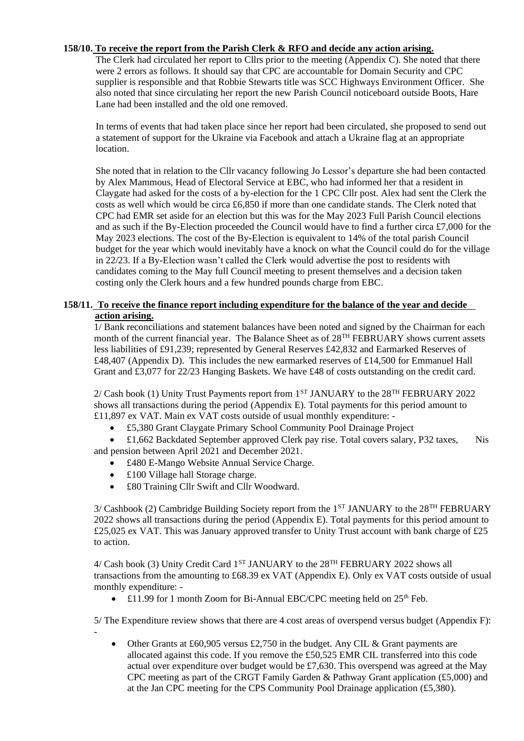### **158/10. To receive the report from the Parish Clerk & RFO and decide any action arising.**

The Clerk had circulated her report to Cllrs prior to the meeting (Appendix C). She noted that there were 2 errors as follows. It should say that CPC are accountable for Domain Security and CPC supplier is responsible and that Robbie Stewarts title was SCC Highways Environment Officer. She also noted that since circulating her report the new Parish Council noticeboard outside Boots, Hare Lane had been installed and the old one removed.

In terms of events that had taken place since her report had been circulated, she proposed to send out a statement of support for the Ukraine via Facebook and attach a Ukraine flag at an appropriate location.

 She noted that in relation to the Cllr vacancy following Jo Lessor's departure she had been contacted by Alex Mammous, Head of Electoral Service at EBC, who had informed her that a resident in Claygate had asked for the costs of a by-election for the 1 CPC Cllr post. Alex had sent the Clerk the costs as well which would be circa £6,850 if more than one candidate stands. The Clerk noted that CPC had EMR set aside for an election but this was for the May 2023 Full Parish Council elections and as such if the By-Election proceeded the Council would have to find a further circa £7,000 for the May 2023 elections. The cost of the By-Election is equivalent to 14% of the total parish Council budget for the year which would inevitably have a knock on what the Council could do for the village in 22/23. If a By-Election wasn't called the Clerk would advertise the post to residents with candidates coming to the May full Council meeting to present themselves and a decision taken costing only the Clerk hours and a few hundred pounds charge from EBC.

### **158/11. To receive the finance report including expenditure for the balance of the year and decide action arising.**

1/ Bank reconciliations and statement balances have been noted and signed by the Chairman for each month of the current financial year. The Balance Sheet as of 28<sup>TH</sup> FEBRUARY shows current assets less liabilities of £91,239; represented by General Reserves £42,832 and Earmarked Reserves of £48,407 (Appendix D). This includes the new earmarked reserves of £14,500 for Emmanuel Hall Grant and £3,077 for 22/23 Hanging Baskets. We have £48 of costs outstanding on the credit card.

 $2/Cash$  book (1) Unity Trust Payments report from 1<sup>ST</sup> JANUARY to the  $28<sup>TH</sup> FEBRUARY 2022$ shows all transactions during the period (Appendix E). Total payments for this period amount to £11,897 ex VAT. Main ex VAT costs outside of usual monthly expenditure: -

• £5,380 Grant Claygate Primary School Community Pool Drainage Project

• £1,662 Backdated September approved Clerk pay rise. Total covers salary, P32 taxes, Nis and pension between April 2021 and December 2021.

- £480 E-Mango Website Annual Service Charge.
- £100 Village hall Storage charge.

-

• £80 Training Cllr Swift and Cllr Woodward.

 $3/$  Cashbook (2) Cambridge Building Society report from the 1<sup>ST</sup> JANUARY to the 28<sup>TH</sup> FEBRUARY 2022 shows all transactions during the period (Appendix E). Total payments for this period amount to £25,025 ex VAT. This was January approved transfer to Unity Trust account with bank charge of £25 to action.

4/ Cash book (3) Unity Credit Card 1<sup>ST</sup> JANUARY to the 28<sup>TH</sup> FEBRUARY 2022 shows all transactions from the amounting to £68.39 ex VAT (Appendix E). Only ex VAT costs outside of usual monthly expenditure: -

• £11.99 for 1 month Zoom for Bi-Annual EBC/CPC meeting held on  $25<sup>th</sup>$  Feb.

5/ The Expenditure review shows that there are 4 cost areas of overspend versus budget (Appendix F):

• Other Grants at £60,905 versus £2,750 in the budget. Any CIL & Grant payments are allocated against this code. If you remove the £50,525 EMR CIL transferred into this code actual over expenditure over budget would be £7,630. This overspend was agreed at the May CPC meeting as part of the CRGT Family Garden & Pathway Grant application (£5,000) and at the Jan CPC meeting for the CPS Community Pool Drainage application (£5,380).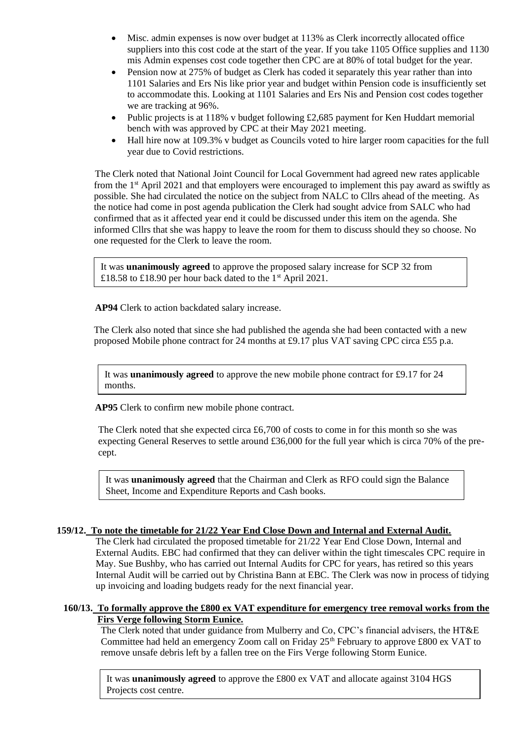- Misc. admin expenses is now over budget at 113% as Clerk incorrectly allocated office suppliers into this cost code at the start of the year. If you take 1105 Office supplies and 1130 mis Admin expenses cost code together then CPC are at 80% of total budget for the year.
- Pension now at 275% of budget as Clerk has coded it separately this year rather than into 1101 Salaries and Ers Nis like prior year and budget within Pension code is insufficiently set to accommodate this. Looking at 1101 Salaries and Ers Nis and Pension cost codes together we are tracking at 96%.
- Public projects is at 118% v budget following £2,685 payment for Ken Huddart memorial bench with was approved by CPC at their May 2021 meeting.
- Hall hire now at 109.3% v budget as Councils voted to hire larger room capacities for the full year due to Covid restrictions.

The Clerk noted that National Joint Council for Local Government had agreed new rates applicable from the  $1<sup>st</sup>$  April 2021 and that employers were encouraged to implement this pay award as swiftly as possible. She had circulated the notice on the subject from NALC to Cllrs ahead of the meeting. As the notice had come in post agenda publication the Clerk had sought advice from SALC who had confirmed that as it affected year end it could be discussed under this item on the agenda. She informed Cllrs that she was happy to leave the room for them to discuss should they so choose. No one requested for the Clerk to leave the room.

It was **unanimously agreed** to approve the proposed salary increase for SCP 32 from £18.58 to £18.90 per hour back dated to the 1<sup>st</sup> April 2021.

**AP94** Clerk to action backdated salary increase.

The Clerk also noted that since she had published the agenda she had been contacted with a new proposed Mobile phone contract for 24 months at £9.17 plus VAT saving CPC circa £55 p.a.

It was **unanimously agreed** to approve the new mobile phone contract for £9.17 for 24 months.

**AP95** Clerk to confirm new mobile phone contract.

The Clerk noted that she expected circa £6,700 of costs to come in for this month so she was expecting General Reserves to settle around £36,000 for the full year which is circa 70% of the precept.

It was **unanimously agreed** that the Chairman and Clerk as RFO could sign the Balance Sheet, Income and Expenditure Reports and Cash books.

#### **159/12. To note the timetable for 21/22 Year End Close Down and Internal and External Audit.**

 The Clerk had circulated the proposed timetable for 21/22 Year End Close Down, Internal and External Audits. EBC had confirmed that they can deliver within the tight timescales CPC require in May. Sue Bushby, who has carried out Internal Audits for CPC for years, has retired so this years Internal Audit will be carried out by Christina Bann at EBC. The Clerk was now in process of tidying up invoicing and loading budgets ready for the next financial year.

#### **160/13. To formally approve the £800 ex VAT expenditure for emergency tree removal works from the Firs Verge following Storm Eunice.**

The Clerk noted that under guidance from Mulberry and Co, CPC's financial advisers, the HT&E Committee had held an emergency Zoom call on Friday  $25<sup>th</sup>$  February to approve £800 ex VAT to remove unsafe debris left by a fallen tree on the Firs Verge following Storm Eunice.

It was **unanimously agreed** to approve the £800 ex VAT and allocate against 3104 HGS Projects cost centre.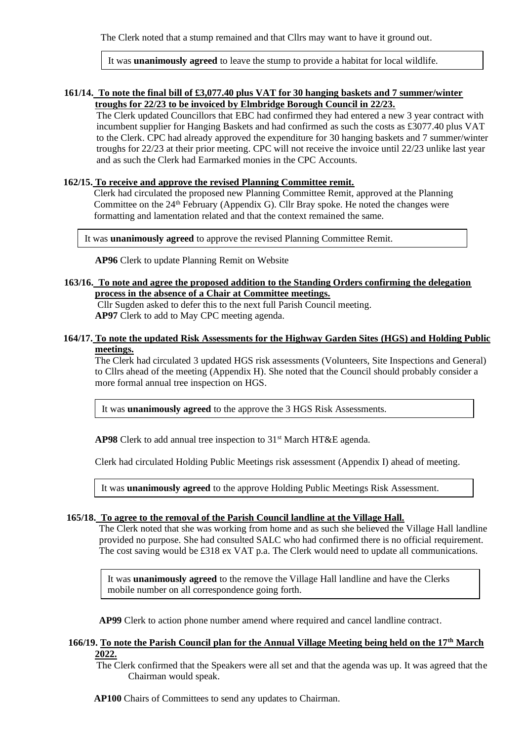The Clerk noted that a stump remained and that Cllrs may want to have it ground out.

It was **unanimously agreed** to leave the stump to provide a habitat for local wildlife.

### **161/14. To note the final bill of £3,077.40 plus VAT for 30 hanging baskets and 7 summer/winter troughs for 22/23 to be invoiced by Elmbridge Borough Council in 22/23.**

The Clerk updated Councillors that EBC had confirmed they had entered a new 3 year contract with incumbent supplier for Hanging Baskets and had confirmed as such the costs as £3077.40 plus VAT to the Clerk. CPC had already approved the expenditure for 30 hanging baskets and 7 summer/winter troughs for 22/23 at their prior meeting. CPC will not receive the invoice until 22/23 unlike last year and as such the Clerk had Earmarked monies in the CPC Accounts.

#### **162/15. To receive and approve the revised Planning Committee remit.**

Clerk had circulated the proposed new Planning Committee Remit, approved at the Planning Committee on the  $24<sup>th</sup>$  February (Appendix G). Cllr Bray spoke. He noted the changes were formatting and lamentation related and that the context remained the same.

It was **unanimously agreed** to approve the revised Planning Committee Remit.

**AP96** Clerk to update Planning Remit on Website

#### **163/16. To note and agree the proposed addition to the Standing Orders confirming the delegation process in the absence of a Chair at Committee meetings.**

Cllr Sugden asked to defer this to the next full Parish Council meeting.

**AP97** Clerk to add to May CPC meeting agenda.

### **164/17. To note the updated Risk Assessments for the Highway Garden Sites (HGS) and Holding Public meetings.**

 The Clerk had circulated 3 updated HGS risk assessments (Volunteers, Site Inspections and General) to Cllrs ahead of the meeting (Appendix H). She noted that the Council should probably consider a more formal annual tree inspection on HGS.

It was **unanimously agreed** to the approve the 3 HGS Risk Assessments.

**AP98** Clerk to add annual tree inspection to 31<sup>st</sup> March HT&E agenda.

Clerk had circulated Holding Public Meetings risk assessment (Appendix I) ahead of meeting.

It was **unanimously agreed** to the approve Holding Public Meetings Risk Assessment.

#### **165/18. To agree to the removal of the Parish Council landline at the Village Hall.**

The Clerk noted that she was working from home and as such she believed the Village Hall landline provided no purpose. She had consulted SALC who had confirmed there is no official requirement. The cost saving would be £318 ex VAT p.a. The Clerk would need to update all communications.

It was **unanimously agreed** to the remove the Village Hall landline and have the Clerks mobile number on all correspondence going forth.

**AP99** Clerk to action phone number amend where required and cancel landline contract.

### **166/19. To note the Parish Council plan for the Annual Village Meeting being held on the 17th March 2022.**

The Clerk confirmed that the Speakers were all set and that the agenda was up. It was agreed that the Chairman would speak.

**AP100** Chairs of Committees to send any updates to Chairman.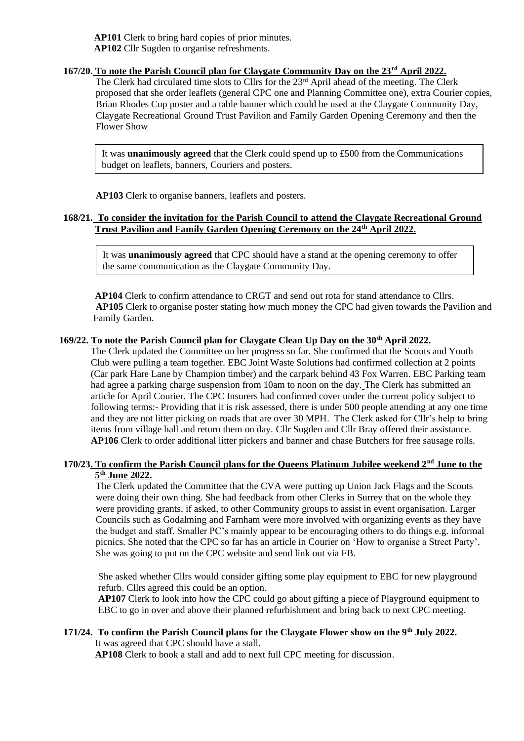**AP101** Clerk to bring hard copies of prior minutes. **AP102** Cllr Sugden to organise refreshments.

## **167/20. To note the Parish Council plan for Claygate Community Day on the 23rd April 2022.**

The Clerk had circulated time slots to Cllrs for the 23rd April ahead of the meeting. The Clerk proposed that she order leaflets (general CPC one and Planning Committee one), extra Courier copies, Brian Rhodes Cup poster and a table banner which could be used at the Claygate Community Day, Claygate Recreational Ground Trust Pavilion and Family Garden Opening Ceremony and then the Flower Show

It was **unanimously agreed** that the Clerk could spend up to £500 from the Communications budget on leaflets, banners, Couriers and posters.

**AP103** Clerk to organise banners, leaflets and posters.

## **168/21. To consider the invitation for the Parish Council to attend the Claygate Recreational Ground Trust Pavilion and Family Garden Opening Ceremony on the 24th April 2022.**

It was **unanimously agreed** that CPC should have a stand at the opening ceremony to offer the same communication as the Claygate Community Day.

**AP104** Clerk to confirm attendance to CRGT and send out rota for stand attendance to Cllrs. **AP105** Clerk to organise poster stating how much money the CPC had given towards the Pavilion and Family Garden.

## **169/22. To note the Parish Council plan for Claygate Clean Up Day on the 30th April 2022.**

The Clerk updated the Committee on her progress so far. She confirmed that the Scouts and Youth Club were pulling a team together. EBC Joint Waste Solutions had confirmed collection at 2 points (Car park Hare Lane by Champion timber) and the carpark behind 43 Fox Warren. EBC Parking team had agree a parking charge suspension from 10am to noon on the day. The Clerk has submitted an article for April Courier. The CPC Insurers had confirmed cover under the current policy subject to following terms:- Providing that it is risk assessed, there is under 500 people attending at any one time and they are not litter picking on roads that are over 30 MPH. The Clerk asked for Cllr's help to bring items from village hall and return them on day. Cllr Sugden and Cllr Bray offered their assistance. **AP106** Clerk to order additional litter pickers and banner and chase Butchers for free sausage rolls.

### **170/23. To confirm the Parish Council plans for the Queens Platinum Jubilee weekend 2nd June to the 5 th June 2022.**

The Clerk updated the Committee that the CVA were putting up Union Jack Flags and the Scouts were doing their own thing. She had feedback from other Clerks in Surrey that on the whole they were providing grants, if asked, to other Community groups to assist in event organisation. Larger Councils such as Godalming and Farnham were more involved with organizing events as they have the budget and staff. Smaller PC's mainly appear to be encouraging others to do things e.g. informal picnics. She noted that the CPC so far has an article in Courier on 'How to organise a Street Party'. She was going to put on the CPC website and send link out via FB.

She asked whether Cllrs would consider gifting some play equipment to EBC for new playground refurb. Cllrs agreed this could be an option.

**AP107** Clerk to look into how the CPC could go about gifting a piece of Playground equipment to EBC to go in over and above their planned refurbishment and bring back to next CPC meeting.

#### **171/24. To confirm the Parish Council plans for the Claygate Flower show on the 9th July 2022.** It was agreed that CPC should have a stall.

**AP108** Clerk to book a stall and add to next full CPC meeting for discussion.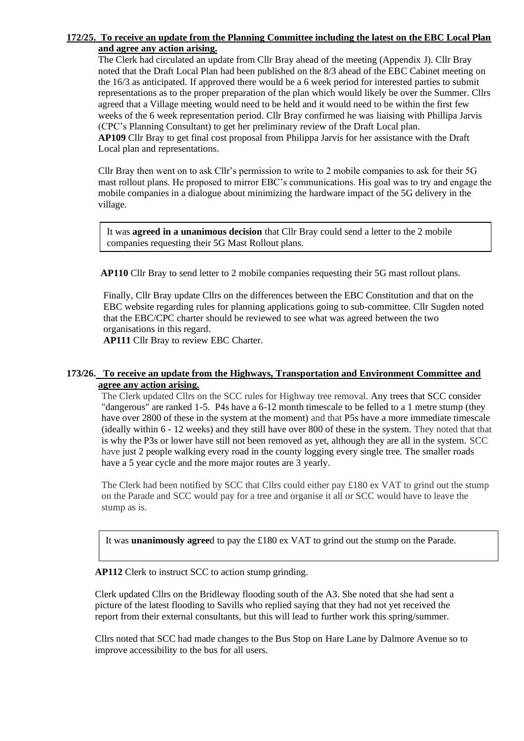#### **172/25. To receive an update from the Planning Committee including the latest on the EBC Local Plan and agree any action arising.**

The Clerk had circulated an update from Cllr Bray ahead of the meeting (Appendix J). Cllr Bray noted that the Draft Local Plan had been published on the 8/3 ahead of the EBC Cabinet meeting on the 16/3 as anticipated. If approved there would be a 6 week period for interested parties to submit representations as to the proper preparation of the plan which would likely be over the Summer. Cllrs agreed that a Village meeting would need to be held and it would need to be within the first few weeks of the 6 week representation period. Cllr Bray confirmed he was liaising with Phillipa Jarvis (CPC's Planning Consultant) to get her preliminary review of the Draft Local plan. **AP109** Cllr Bray to get final cost proposal from Philippa Jarvis for her assistance with the Draft Local plan and representations.

Cllr Bray then went on to ask Cllr's permission to write to 2 mobile companies to ask for their 5G mast rollout plans. He proposed to mirror EBC's communications. His goal was to try and engage the mobile companies in a dialogue about minimizing the hardware impact of the 5G delivery in the village.

It was **agreed in a unanimous decision** that Cllr Bray could send a letter to the 2 mobile companies requesting their 5G Mast Rollout plans.

**AP110** Cllr Bray to send letter to 2 mobile companies requesting their 5G mast rollout plans.

Finally, Cllr Bray update Cllrs on the differences between the EBC Constitution and that on the EBC website regarding rules for planning applications going to sub-committee. Cllr Sugden noted that the EBC/CPC charter should be reviewed to see what was agreed between the two organisations in this regard.

**AP111** Cllr Bray to review EBC Charter.

### **173/26. To receive an update from the Highways, Transportation and Environment Committee and agree any action arising.**

The Clerk updated Cllrs on the SCC rules for Highway tree removal. Any trees that SCC consider "dangerous" are ranked 1-5. P4s have a 6-12 month timescale to be felled to a 1 metre stump (they have over 2800 of these in the system at the moment) and that P5s have a more immediate timescale (ideally within 6 - 12 weeks) and they still have over 800 of these in the system. They noted that that is why the P3s or lower have still not been removed as yet, although they are all in the system. SCC have just 2 people walking every road in the county logging every single tree. The smaller roads have a 5 year cycle and the more major routes are 3 yearly.

The Clerk had been notified by SCC that Cllrs could either pay  $\pounds$ 180 ex VAT to grind out the stump on the Parade and SCC would pay for a tree and organise it all or SCC would have to leave the stump as is.

It was **unanimously agree**d to pay the £180 ex VAT to grind out the stump on the Parade.

**AP112** Clerk to instruct SCC to action stump grinding.

Clerk updated Cllrs on the Bridleway flooding south of the A3. She noted that she had sent a picture of the latest flooding to Savills who replied saying that they had not yet received the report from their external consultants, but this will lead to further work this spring/summer.

Cllrs noted that SCC had made changes to the Bus Stop on Hare Lane by Dalmore Avenue so to improve accessibility to the bus for all users.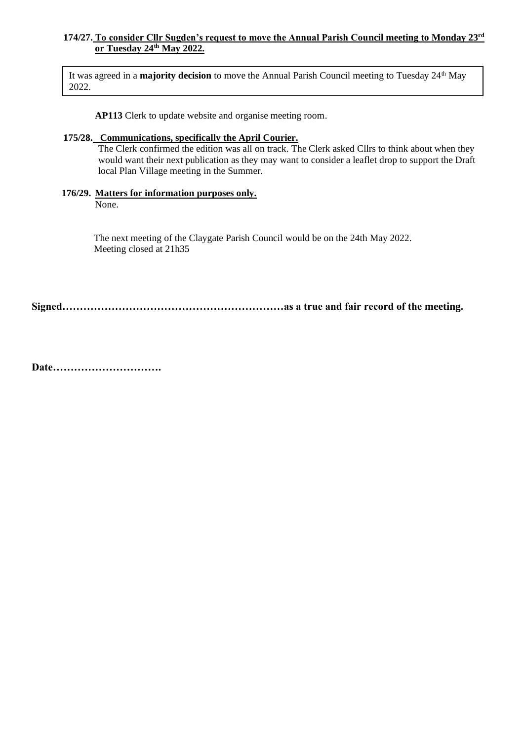#### **174/27. To consider Cllr Sugden's request to move the Annual Parish Council meeting to Monday 23rd or Tuesday 24th May 2022.**

It was agreed in a **majority decision** to move the Annual Parish Council meeting to Tuesday 24<sup>th</sup> May 2022.

**AP113** Clerk to update website and organise meeting room.

#### **175/28. Communications, specifically the April Courier.**

The Clerk confirmed the edition was all on track. The Clerk asked Cllrs to think about when they would want their next publication as they may want to consider a leaflet drop to support the Draft local Plan Village meeting in the Summer.

#### **176/29. Matters for information purposes only.**

None.

The next meeting of the Claygate Parish Council would be on the 24th May 2022. Meeting closed at 21h35

**Signed………………………………………………………as a true and fair record of the meeting.**

**Date………………………….**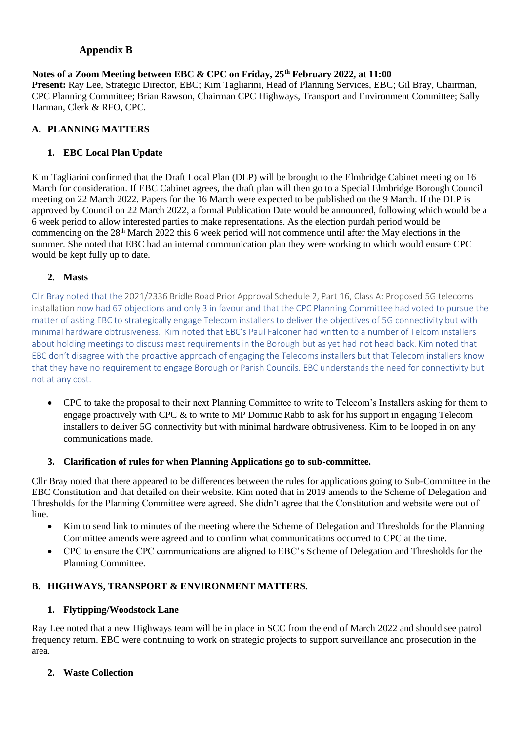## **Appendix B**

#### **Notes of a Zoom Meeting between EBC & CPC on Friday, 25th February 2022, at 11:00 Present:** Ray Lee, Strategic Director, EBC; Kim Tagliarini, Head of Planning Services, EBC; Gil Bray, Chairman, CPC Planning Committee; Brian Rawson, Chairman CPC Highways, Transport and Environment Committee; Sally Harman, Clerk & RFO, CPC.

# **A. PLANNING MATTERS**

# **1. EBC Local Plan Update**

Kim Tagliarini confirmed that the Draft Local Plan (DLP) will be brought to the Elmbridge Cabinet meeting on 16 March for consideration. If EBC Cabinet agrees, the draft plan will then go to a Special Elmbridge Borough Council meeting on 22 March 2022. Papers for the 16 March were expected to be published on the 9 March. If the DLP is approved by Council on 22 March 2022, a formal Publication Date would be announced, following which would be a 6 week period to allow interested parties to make representations. As the election purdah period would be commencing on the 28<sup>th</sup> March 2022 this 6 week period will not commence until after the May elections in the summer. She noted that EBC had an internal communication plan they were working to which would ensure CPC would be kept fully up to date.

## **2. Masts**

Cllr Bray noted that the 2021/2336 Bridle Road Prior Approval Schedule 2, Part 16, Class A: Proposed 5G telecoms installation now had 67 objections and only 3 in favour and that the CPC Planning Committee had voted to pursue the matter of asking EBC to strategically engage Telecom installers to deliver the objectives of 5G connectivity but with minimal hardware obtrusiveness. Kim noted that EBC's Paul Falconer had written to a number of Telcom installers about holding meetings to discuss mast requirements in the Borough but as yet had not head back. Kim noted that EBC don't disagree with the proactive approach of engaging the Telecoms installers but that Telecom installers know that they have no requirement to engage Borough or Parish Councils. EBC understands the need for connectivity but not at any cost.

• CPC to take the proposal to their next Planning Committee to write to Telecom's Installers asking for them to engage proactively with CPC & to write to MP Dominic Rabb to ask for his support in engaging Telecom installers to deliver 5G connectivity but with minimal hardware obtrusiveness. Kim to be looped in on any communications made.

## **3. Clarification of rules for when Planning Applications go to sub-committee.**

Cllr Bray noted that there appeared to be differences between the rules for applications going to Sub-Committee in the EBC Constitution and that detailed on their website. Kim noted that in 2019 amends to the Scheme of Delegation and Thresholds for the Planning Committee were agreed. She didn't agree that the Constitution and website were out of line.

- Kim to send link to minutes of the meeting where the Scheme of Delegation and Thresholds for the Planning Committee amends were agreed and to confirm what communications occurred to CPC at the time.
- CPC to ensure the CPC communications are aligned to EBC's Scheme of Delegation and Thresholds for the Planning Committee.

## **B. HIGHWAYS, TRANSPORT & ENVIRONMENT MATTERS.**

## **1. Flytipping/Woodstock Lane**

Ray Lee noted that a new Highways team will be in place in SCC from the end of March 2022 and should see patrol frequency return. EBC were continuing to work on strategic projects to support surveillance and prosecution in the area.

## **2. Waste Collection**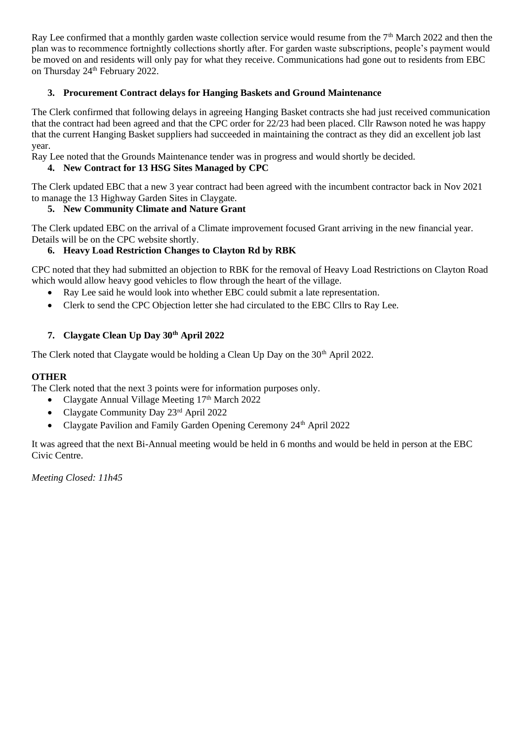Ray Lee confirmed that a monthly garden waste collection service would resume from the  $7<sup>th</sup>$  March 2022 and then the plan was to recommence fortnightly collections shortly after. For garden waste subscriptions, people's payment would be moved on and residents will only pay for what they receive. Communications had gone out to residents from EBC on Thursday 24<sup>th</sup> February 2022.

## **3. Procurement Contract delays for Hanging Baskets and Ground Maintenance**

The Clerk confirmed that following delays in agreeing Hanging Basket contracts she had just received communication that the contract had been agreed and that the CPC order for 22/23 had been placed. Cllr Rawson noted he was happy that the current Hanging Basket suppliers had succeeded in maintaining the contract as they did an excellent job last year.

Ray Lee noted that the Grounds Maintenance tender was in progress and would shortly be decided.

## **4. New Contract for 13 HSG Sites Managed by CPC**

The Clerk updated EBC that a new 3 year contract had been agreed with the incumbent contractor back in Nov 2021 to manage the 13 Highway Garden Sites in Claygate.

## **5. New Community Climate and Nature Grant**

The Clerk updated EBC on the arrival of a Climate improvement focused Grant arriving in the new financial year. Details will be on the CPC website shortly.

## **6. Heavy Load Restriction Changes to Clayton Rd by RBK**

CPC noted that they had submitted an objection to RBK for the removal of Heavy Load Restrictions on Clayton Road which would allow heavy good vehicles to flow through the heart of the village.

- Ray Lee said he would look into whether EBC could submit a late representation.
- Clerk to send the CPC Objection letter she had circulated to the EBC Cllrs to Ray Lee.

## **7. Claygate Clean Up Day 30th April 2022**

The Clerk noted that Claygate would be holding a Clean Up Day on the  $30<sup>th</sup>$  April 2022.

## **OTHER**

The Clerk noted that the next 3 points were for information purposes only.

- Claygate Annual Village Meeting 17<sup>th</sup> March 2022
- Claygate Community Day 23rd April 2022
- Claygate Pavilion and Family Garden Opening Ceremony 24<sup>th</sup> April 2022

It was agreed that the next Bi-Annual meeting would be held in 6 months and would be held in person at the EBC Civic Centre.

*Meeting Closed: 11h45*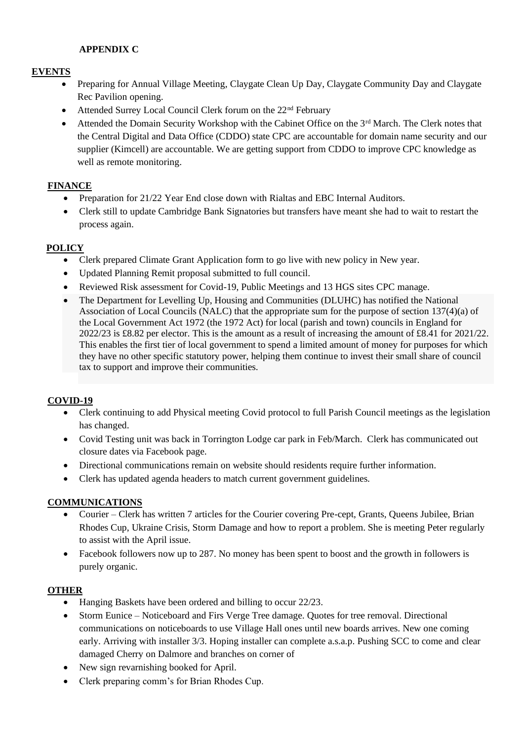## **APPENDIX C**

## **EVENTS**

- Preparing for Annual Village Meeting, Claygate Clean Up Day, Claygate Community Day and Claygate Rec Pavilion opening.
- Attended Surrey Local Council Clerk forum on the 22<sup>nd</sup> February
- Attended the Domain Security Workshop with the Cabinet Office on the 3<sup>rd</sup> March. The Clerk notes that the Central Digital and Data Office (CDDO) state CPC are accountable for domain name security and our supplier (Kimcell) are accountable. We are getting support from CDDO to improve CPC knowledge as well as remote monitoring.

## **FINANCE**

- Preparation for 21/22 Year End close down with Rialtas and EBC Internal Auditors.
- Clerk still to update Cambridge Bank Signatories but transfers have meant she had to wait to restart the process again.

## **POLICY**

- Clerk prepared Climate Grant Application form to go live with new policy in New year.
- Updated Planning Remit proposal submitted to full council.
- Reviewed Risk assessment for Covid-19, Public Meetings and 13 HGS sites CPC manage.
- The Department for Levelling Up, Housing and Communities (DLUHC) has notified the National Association of Local Councils (NALC) that the appropriate sum for the purpose of section 137(4)(a) of the Local Government Act 1972 (the 1972 Act) for local (parish and town) councils in England for 2022/23 is £8.82 per elector. This is the amount as a result of increasing the amount of £8.41 for 2021/22. This enables the first tier of local government to spend a limited amount of money for purposes for which they have no other specific statutory power, helping them continue to invest their small share of council tax to support and improve their communities.

## **COVID-19**

- Clerk continuing to add Physical meeting Covid protocol to full Parish Council meetings as the legislation has changed.
- Covid Testing unit was back in Torrington Lodge car park in Feb/March. Clerk has communicated out closure dates via Facebook page.
- Directional communications remain on website should residents require further information.
- Clerk has updated agenda headers to match current government guidelines.

## **COMMUNICATIONS**

- Courier Clerk has written 7 articles for the Courier covering Pre-cept, Grants, Queens Jubilee, Brian Rhodes Cup, Ukraine Crisis, Storm Damage and how to report a problem. She is meeting Peter regularly to assist with the April issue.
- Facebook followers now up to 287. No money has been spent to boost and the growth in followers is purely organic.

## **OTHER**

- Hanging Baskets have been ordered and billing to occur 22/23.
- Storm Eunice Noticeboard and Firs Verge Tree damage. Quotes for tree removal. Directional communications on noticeboards to use Village Hall ones until new boards arrives. New one coming early. Arriving with installer 3/3. Hoping installer can complete a.s.a.p. Pushing SCC to come and clear damaged Cherry on Dalmore and branches on corner of
- New sign revarnishing booked for April.
- Clerk preparing comm's for Brian Rhodes Cup.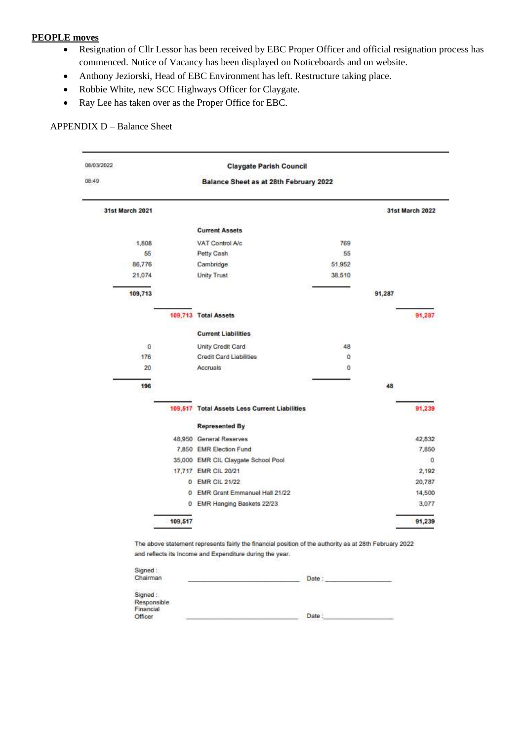#### **PEOPLE moves**

- Resignation of Cllr Lessor has been received by EBC Proper Officer and official resignation process has commenced. Notice of Vacancy has been displayed on Noticeboards and on website.
- Anthony Jeziorski, Head of EBC Environment has left. Restructure taking place.
- Robbie White, new SCC Highways Officer for Claygate.
- Ray Lee has taken over as the Proper Office for EBC.

#### APPENDIX D – Balance Sheet

| 08/03/2022      | <b>Claygate Parish Council</b> |                                               |        |        |                 |  |  |  |
|-----------------|--------------------------------|-----------------------------------------------|--------|--------|-----------------|--|--|--|
| 08:49           |                                | Balance Sheet as at 28th February 2022        |        |        |                 |  |  |  |
| 31st March 2021 |                                |                                               |        |        | 31st March 2022 |  |  |  |
|                 |                                | <b>Current Assets</b>                         |        |        |                 |  |  |  |
| 1.808           |                                | VAT Control A/c                               | 769    |        |                 |  |  |  |
| 55              |                                | Petty Cash                                    | 55     |        |                 |  |  |  |
| 86,776          |                                | Cambridge                                     | 51,952 |        |                 |  |  |  |
| 21,074          |                                | Unity Trust                                   | 38,510 |        |                 |  |  |  |
|                 |                                |                                               |        |        |                 |  |  |  |
| 109,713         |                                |                                               |        | 91,287 |                 |  |  |  |
|                 |                                | 109,713 Total Assets                          |        |        | 91,287          |  |  |  |
|                 |                                | <b>Current Liabilities</b>                    |        |        |                 |  |  |  |
| 0               |                                | Unity Credit Card                             | 48     |        |                 |  |  |  |
| 176             |                                | Credit Card Liabilities                       | ō      |        |                 |  |  |  |
| 20              |                                | Accruals                                      | Ö      |        |                 |  |  |  |
| 196             |                                |                                               |        | 48     |                 |  |  |  |
|                 |                                | 109,517 Total Assets Less Current Liabilities |        |        | 91,239          |  |  |  |
|                 |                                | <b>Represented By</b>                         |        |        |                 |  |  |  |
|                 |                                | 48.950 General Reserves                       |        |        | 42,832          |  |  |  |
|                 |                                | 7,850 EMR Election Fund                       |        |        | 7,850           |  |  |  |
|                 |                                | 35,000 EMR CIL Claygate School Pool           |        |        | 0               |  |  |  |
|                 |                                | 17,717 EMR CIL 20/21                          |        |        | 2.192           |  |  |  |
|                 |                                | 0 EMR CIL 21/22                               |        |        | 20.787          |  |  |  |
|                 |                                | 0 EMR Grant Emmanuel Hall 21/22               |        |        | 14,500          |  |  |  |
|                 |                                | 0 EMR Hanging Baskets 22/23                   |        |        | 3.077           |  |  |  |
|                 | 109,517                        |                                               |        |        | 91,239          |  |  |  |
|                 |                                |                                               |        |        |                 |  |  |  |

| Signed:<br>Chairman<br>ひんとうしんがく しんそうせいしょ | Date |  |
|------------------------------------------|------|--|
| Signed:<br>Responsible<br>Financial      |      |  |
| Officer                                  | Date |  |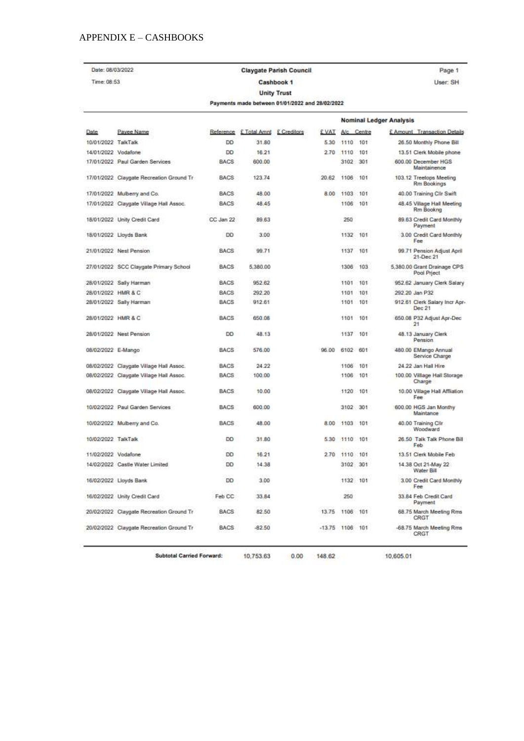### APPENDIX  $\mathbf{E}-\mathbf{CASHBOOKS}$

| Date: 08/03/2022    |                                          |             |              | <b>Claygate Parish Council</b>                  |                   |          |            |                                | Page 1                                     |
|---------------------|------------------------------------------|-------------|--------------|-------------------------------------------------|-------------------|----------|------------|--------------------------------|--------------------------------------------|
| Time: 08:53         |                                          | Cashbook 1  |              |                                                 |                   |          |            |                                | User: SH                                   |
|                     |                                          |             |              | <b>Unity Trust</b>                              |                   |          |            |                                |                                            |
|                     |                                          |             |              | Payments made between 01/01/2022 and 28/02/2022 |                   |          |            |                                |                                            |
|                     |                                          |             |              |                                                 |                   |          |            | <b>Nominal Ledger Analysis</b> |                                            |
| Date                | Payee Name                               | Reference   | £ Total Amnt | E Creditors                                     | £ VAT             |          | A/c Centre |                                | £ Amount Transaction Details               |
| 10/01/2022 TalkTalk |                                          | DD          | 31.80        |                                                 | 5.30              | 1110     | 101        |                                | 26.50 Monthly Phone Bill                   |
| 14/01/2022 Vodafone |                                          | DD          | 16.21        |                                                 | 2.70              | 1110     | 101        |                                | 13.51 Clerk Mobile phone                   |
|                     | 17/01/2022 Paul Garden Services          | <b>BACS</b> | 600.00       |                                                 |                   | 3102     | 301        |                                | 600.00 December HGS<br>Maintainence        |
|                     | 17/01/2022 Claygate Recreation Ground Tr | BACS        | 123.74       |                                                 | 20.62             | 1106     | 101        |                                | 103.12 Treetops Meeting<br>Rm Bookings     |
|                     | 17/01/2022 Mulberry and Co.              | BACS        | 48.00        |                                                 | 8.00              | 1103     | 101        |                                | 40.00 Training ClIr Swift                  |
|                     | 17/01/2022 Claygate Village Hall Assoc.  | <b>BACS</b> | 48.45        |                                                 |                   | 1106     | 101        |                                | 48.45 Village Hall Meeting<br>Rm Bookng    |
|                     | 18/01/2022 Unity Credit Card             | CC Jan 22   | 89.63        |                                                 |                   | 250      |            |                                | 89.63 Credit Card Monthly<br>Payment       |
|                     | 18/01/2022 Lloyds Bank                   | DO          | 3.00         |                                                 |                   | 1132     | 101        |                                | 3.00 Credit Card Monthly<br>Fee            |
|                     | 21/01/2022 Nest Pension                  | BACS        | 99.71        |                                                 |                   | 1137     | 101        |                                | 99.71 Pension Adjust April<br>21-Dec 21    |
|                     | 27/01/2022 SCC Claygate Primary School   | <b>BACS</b> | 5,380.00     |                                                 |                   | 1306     | 103        |                                | 5,380.00 Grant Drainage CPS<br>Pool Prject |
|                     | 28/01/2022 Sally Harman                  | BACS        | 952.62       |                                                 |                   | 1101     | 101        |                                | 952.62 January Clerk Salary                |
| 28/01/2022 HMR & C  |                                          | <b>BACS</b> | 292.20       |                                                 |                   | 1101     | 101        |                                | 292.20 Jan P32                             |
|                     | 28/01/2022 Sally Harman                  | <b>BACS</b> | 912.61       |                                                 |                   | 1101     | 101        |                                | 912.61 Clerk Salary Incr Apr-<br>Dec 21    |
| 28/01/2022 HMR & C  |                                          | <b>BACS</b> | 650.08       |                                                 |                   | 1101     | 101        |                                | 650.08 P32 Adjust Apr-Dec<br>21            |
|                     | 28/01/2022 Nest Pension                  | DD          | 48.13        |                                                 |                   | 1137     | 101        |                                | 48.13 January Clerk<br>Pension             |
| 08/02/2022 E-Mango  |                                          | BACS        | 576.00       |                                                 | 96.00             | 6102     | 601        |                                | 480.00 EMango Annual<br>Service Charge     |
|                     | 08/02/2022 Claygate Village Hall Assoc.  | <b>BACS</b> | 24.22        |                                                 |                   | 1106     | 101        |                                | 24.22 Jan Hall Hire                        |
|                     | 08/02/2022 Claygate Vilage Hall Assoc.   | <b>BACS</b> | 100.00       |                                                 |                   | 1106     | 101        |                                | 100.00 Village Hall Storage<br>Charge      |
|                     | 08/02/2022 Claygate Vilage Hall Assoc.   | <b>BACS</b> | 10.00        |                                                 |                   | 1120 101 |            |                                | 10.00 Village Hall Affiliation<br>Fee      |
|                     | 10/02/2022 Paul Garden Services          | <b>BACS</b> | 600.00       |                                                 |                   | 3102 301 |            |                                | 600.00 HGS Jan Monthy<br>Maintance         |
|                     | 10/02/2022 Mulberry and Co.              | <b>BACS</b> | 48.00        |                                                 | 8.00              | 1103 101 |            |                                | 40.00 Training Cilr<br>Woodward            |
| 10/02/2022 TalkTalk |                                          | DD          | 31.80        |                                                 | 5.30              | 1110 101 |            |                                | 26.50 Talk Talk Phone Bill<br>Feb          |
| 11/02/2022 Vodafone |                                          | DO          | 16.21        |                                                 | 2.70              | 1110     | , 101      |                                | 13.51 Clerk Mobile Feb                     |
|                     | 14/02/2022 Castle Water Limited          | DD          | 14.38        |                                                 |                   | 3102     | 301        |                                | 14.38 Oct 21-May 22<br>Water Bill          |
|                     | 16/02/2022 Lloyds Bank                   | DO          | 3.00         |                                                 |                   | 1132 101 |            |                                | 3.00 Credit Card Monthly<br>Fee            |
|                     | 16/02/2022 Unity Credit Card             | Feb CC      | 33.84        |                                                 |                   | 250      |            |                                | 33.84 Feb Credit Card<br>Payment           |
|                     | 20/02/2022 Claygate Recreation Ground Tr | <b>BACS</b> | 82.50        |                                                 | 13.75             | 1106     | 101        |                                | 68.75 March Meeting Rms<br>CRGT            |
|                     | 20/02/2022 Claygate Recreation Ground Tr | BACS        | $-82.50$     |                                                 | $-13.75$ 1106 101 |          |            |                                | -68.75 March Meeting Rms<br>CRGT           |

Subtotal Carried Forward:

10,753.63  $0.00$  148.62 10,605.01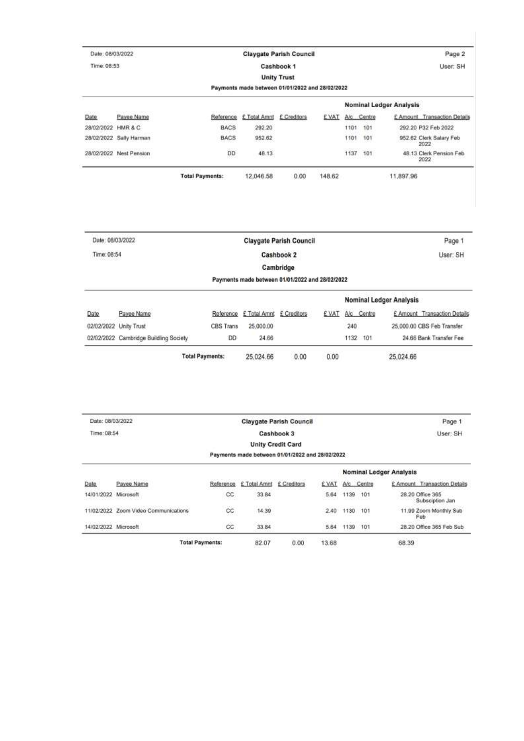| Date: 08/03/2022 |                         |                        |                                                 | <b>Claygate Parish Council</b> |             |      |            | Page 2                           |  |  |  |
|------------------|-------------------------|------------------------|-------------------------------------------------|--------------------------------|-------------|------|------------|----------------------------------|--|--|--|
| Time: 08:53      |                         |                        |                                                 | Cashbook 1                     |             |      |            | User: SH                         |  |  |  |
|                  |                         |                        |                                                 | <b>Unity Trust</b>             |             |      |            |                                  |  |  |  |
|                  |                         |                        | Payments made between 01/01/2022 and 28/02/2022 |                                |             |      |            |                                  |  |  |  |
|                  |                         |                        |                                                 |                                |             |      |            | <b>Nominal Ledger Analysis</b>   |  |  |  |
| uma<br>Date      | Payee Name              | Reference              | £ Total Amnt £ Creditors                        |                                | <b>EVAT</b> |      | A/c Centre | E Amount Transaction Details     |  |  |  |
| 28/02/2022       | HMR & C                 | BACS                   | 292.20                                          |                                |             | 1101 | 101        | 292 20 P32 Feb 2022              |  |  |  |
|                  | 28/02/2022 Sally Harman | <b>BACS</b>            | 952.62                                          |                                |             | 1101 | 101        | 952.62 Clerk Salary Feb<br>2022  |  |  |  |
|                  | 28/02/2022 Nest Pension | <b>DD</b>              | 48.13                                           |                                |             |      | 1137 101   | 48.13 Clerk Pension Feb.<br>2022 |  |  |  |
|                  |                         | <b>Total Payments:</b> | 12.046.58                                       | 0.00                           | 148.62      |      |            | 11,897.96                        |  |  |  |

|                                        |                |           |             |              |            | Page 1                                                                     |  |  |
|----------------------------------------|----------------|-----------|-------------|--------------|------------|----------------------------------------------------------------------------|--|--|
|                                        |                |           | Cashbook 2  |              |            | User: SH                                                                   |  |  |
|                                        |                |           | Cambridge   |              |            |                                                                            |  |  |
|                                        |                |           |             |              |            |                                                                            |  |  |
|                                        |                |           |             |              |            |                                                                            |  |  |
| Payee Name                             | Reference      |           | £ Creditors | <b>EVAT</b>  | A/c Centre | £ Amount Transaction Details                                               |  |  |
| 02/02/2022 Unity Trust                 | CBS Trans      | 25.000.00 |             |              | 240        | 25,000.00 CBS Feb Transfer                                                 |  |  |
| 02/02/2022 Cambridge Buildling Society | D <sub>D</sub> | 24.66     |             |              | 1132 101   | 24.66 Bank Transfer Fee                                                    |  |  |
|                                        |                |           |             | £ Total Amnt |            | Payments made between 01/01/2022 and 28/02/2022<br>Nominal Ledger Analysis |  |  |

| Date: 08/03/2022     |                                      |                        | <b>Claygate Parish Council</b> | Page 1                                          |       |          |                                |                                     |
|----------------------|--------------------------------------|------------------------|--------------------------------|-------------------------------------------------|-------|----------|--------------------------------|-------------------------------------|
|                      | Time: 08:54<br>Cashbook 3            |                        |                                |                                                 |       | User: SH |                                |                                     |
|                      |                                      |                        |                                | <b>Unity Credit Card</b>                        |       |          |                                |                                     |
|                      |                                      |                        |                                | Payments made between 01/01/2022 and 28/02/2022 |       |          |                                |                                     |
|                      |                                      |                        |                                |                                                 |       |          | <b>Nominal Ledger Analysis</b> |                                     |
| <b>Date</b>          | Payee Name                           | Reference.             | £ Total Amnt                   | £ Creditors                                     | £ VAT |          | A/c Centre                     | £ Amount Transaction Details        |
| 14/01/2022 Microsoft |                                      | CC.                    | 33.84                          |                                                 | 5.64  | 1139     | 101                            | 28.20 Office 365<br>Subsciption Jan |
|                      | 11/02/2022 Zoom Video Communications | $\rm{cc}$              | 14.39                          |                                                 | 2.40  | 1130 101 |                                | 11.99 Zoom Monthly Sub<br>Feb       |
| 14/02/2022 Microsoft |                                      | $_{cc}$                | 33.84                          |                                                 | 5.64  | 1139 101 |                                | 28.20 Office 365 Feb Sub            |
|                      |                                      | <b>Total Payments:</b> | 82.07                          | 0.00                                            | 13.68 |          |                                | 68.39                               |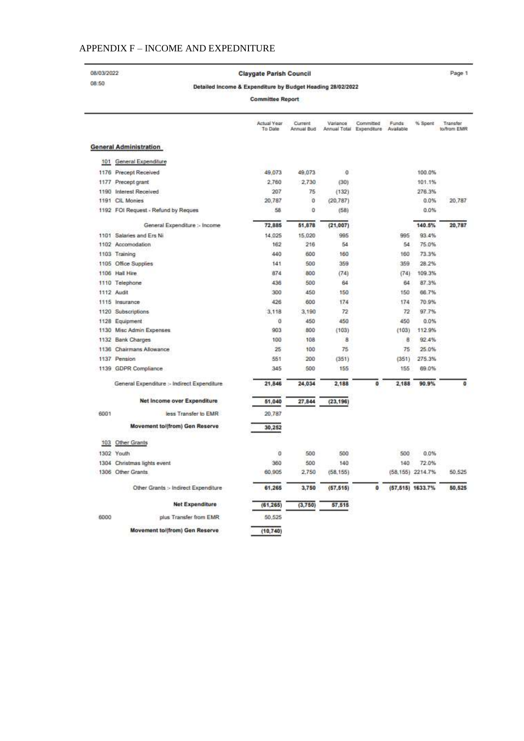## APPENDIX F - INCOME AND EXPEDNITURE

08/03/2022 08:50

Claygate Parish Council

Page 1

#### Detailed Income & Expenditure by Budget Heading 28/02/2022

**Committee Report** 

|      |                                             | Actual Year<br>To Date | Current<br>Annual Bud | Variance  | Committed<br>Annual Total Expenditure | Funds<br>Available | % Spent          | Transfer<br>to/from EMR |
|------|---------------------------------------------|------------------------|-----------------------|-----------|---------------------------------------|--------------------|------------------|-------------------------|
|      | <b>General Administration</b>               |                        |                       |           |                                       |                    |                  |                         |
| 101  | General Expenditure                         |                        |                       |           |                                       |                    |                  |                         |
|      | 1176 Precept Received                       | 49.073                 | 49.073                | o         |                                       |                    | 100.0%           |                         |
|      | 1177 Precept grant                          | 2,760                  | 2.730                 | (30)      |                                       |                    | 101.1%           |                         |
|      | 1190 Interest Received                      | 207                    | 75                    | (132)     |                                       |                    | 276.3%           |                         |
|      | 1191 CIL Monies                             | 20.787                 | 0                     | (20.787)  |                                       |                    | 0.0%             | 20.787                  |
|      | 1192 FOI Request - Refund by Reques         | 58                     | 0                     | (58)      |                                       |                    | 0.0%             |                         |
|      | General Expenditure :- Income               | 72,885                 | 51,878                | (21, 007) |                                       |                    | 140.5%           | 20,787                  |
|      | 1101 Salaries and Ers Ni                    | 14.025                 | 15.020                | 995       |                                       | 995                | 93.4%            |                         |
|      | 1102 Accomodation                           | 162                    | 216                   | 54        |                                       | 54                 | 75.0%            |                         |
|      | 1103 Training                               | 440                    | 600                   | 160       |                                       | 160                | 73.3%            |                         |
|      | 1105 Office Supplies                        | 141                    | 500                   | 359       |                                       | 359                | 28.2%            |                         |
|      | 1106 Hall Hire                              | 874                    | 800                   | (74)      |                                       | (74)               | 109.3%           |                         |
|      | 1110 Telephone                              | 436                    | 500                   | 64        |                                       | 64                 | 87.3%            |                         |
|      | 1112 Audit                                  | 300                    | 450                   | 150       |                                       | 150                | 66.7%            |                         |
|      | 1115 Insurance                              | 426                    | 600                   | 174       |                                       | 174                | 70.9%            |                         |
|      | 1120 Subscriptions                          | 3,118                  | 3,190                 | 72        |                                       | 72                 | 97.7%            |                         |
|      | 1128 Equipment                              | Ű                      | 450                   | 450       |                                       | 450                | 0.0%             |                         |
|      | 1130 Misc Admin Expenses                    | 903                    | 800                   | (103)     |                                       | (103)              | 112.9%           |                         |
|      | 1132 Bank Charges                           | 100                    | 108                   | 8         |                                       | 8                  | 92.4%            |                         |
|      | 1136 Chairmans Allowance                    | 25                     | 100                   | 75        |                                       | 75                 | 25.0%            |                         |
|      | 1137 Pension                                | 551                    | 200                   | (351)     |                                       | (351)              | 275.3%           |                         |
|      | 1139 GDPR Compliance                        | 345                    | 500                   | 155       |                                       | 155                | 69.0%            |                         |
|      | General Expenditure :- Indirect Expenditure | 21,846                 | 24.034                | 2.188     | $\circ$                               | 2.188              | 90.9%            | $\circ$                 |
|      | Net Income over Expenditure                 | 51.040                 | 27,844                | (23, 196) |                                       |                    |                  |                         |
| 6001 | less Transfer to EMR                        | 20.787                 |                       |           |                                       |                    |                  |                         |
|      | Movement to/(from) Gen Reserve              | 30,252                 |                       |           |                                       |                    |                  |                         |
| 103  | Other Grants                                |                        |                       |           |                                       |                    |                  |                         |
|      | 1302 Youth                                  | ö                      | 500                   | 500       |                                       | 500                | 0.0%             |                         |
|      | 1304 Christmas lights event                 | 360                    | 500                   | 140       |                                       | 140                | 72.0%            |                         |
|      | 1306 Other Grants                           | 60.905                 | 2,750                 | (58.155)  |                                       |                    | (58.155) 2214.7% | 50.525                  |
|      | Other Grants :- Indirect Expenditure        | 61.265                 | 3,750                 | (57.515)  | $\mathbf{0}$                          |                    | (57,515) 1633.7% | 50.525                  |
|      | <b>Net Expenditure</b>                      | (61, 265)              | (3,750)               | 57,515    |                                       |                    |                  |                         |
| 6000 | plus Transfer from EMR                      | 50.525                 |                       |           |                                       |                    |                  |                         |
|      | Movement to/(from) Gen Reserve              | (10, 740)              |                       |           |                                       |                    |                  |                         |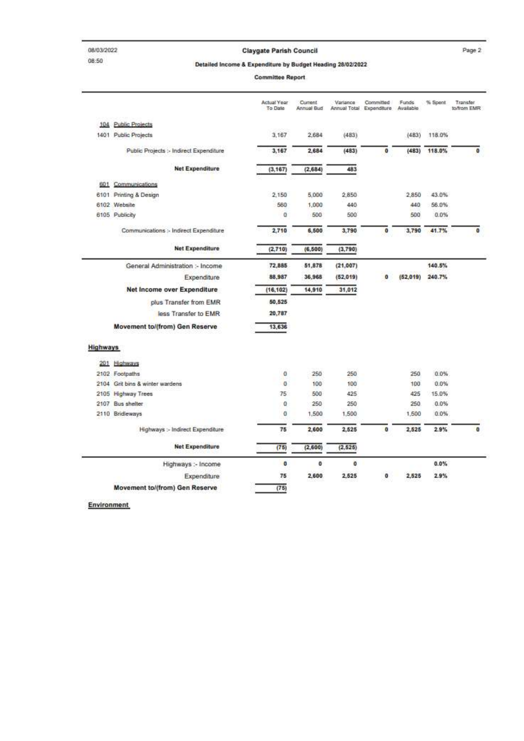#### **Claygate Parish Council**

Page 2

Detailed Income & Expenditure by Budget Heading 28/02/2022

**Committee Report** 

|                 |                                         | Actual Year<br>To Date | Current<br>Annual Bud | Variance  | Committed<br>Annual Total Expenditure | Funds<br>Available | % Spent | Transfer<br>to/from EMR |
|-----------------|-----------------------------------------|------------------------|-----------------------|-----------|---------------------------------------|--------------------|---------|-------------------------|
|                 | 104 Public Projects                     |                        |                       |           |                                       |                    |         |                         |
|                 | 1401 Public Projects                    | 3,167                  | 2,684                 | (483)     |                                       | (483)              | 118.0%  |                         |
|                 | Public Projects :- Indirect Expenditure | 3,167                  | 2,684                 | (483)     | $\bf o$                               | (483)              | 118.0%  | $\circ$                 |
|                 | <b>Net Expenditure</b>                  | (3, 167)               | (2,684)               | 483       |                                       |                    |         |                         |
|                 | 601 Communications                      |                        |                       |           |                                       |                    |         |                         |
|                 | 6101 Printing & Design                  | 2.150                  | 5.000                 | 2,850     |                                       | 2,850              | 43.0%   |                         |
|                 | 6102 Website                            | 580                    | 1,000                 | 440       |                                       | 440                | 56.0%   |                         |
|                 | 6105 Publicity                          | ű                      | 500                   | 500       |                                       | 500                | 0.0%    |                         |
|                 | Communications :- Indirect Expenditure  | 2,710                  | 6,500                 | 3,790     | O                                     | 3,790              | 41.7%   | $\bf{0}$                |
|                 | <b>Net Expenditure</b>                  | (2,710)                | (6, 500)              | (3,790)   |                                       |                    |         |                         |
|                 | General Administration :- Income        | 72,885                 | 51,878                | (21, 007) |                                       |                    | 140.5%  |                         |
|                 | Expenditure                             | 88,987                 | 36.968                | (52, 019) | O                                     | (52.019)           | 240.7%  |                         |
|                 | Net Income over Expenditure             | (16, 102)              | 14,910                | 31.012    |                                       |                    |         |                         |
|                 | plus Transfer from EMR                  | 50,525                 |                       |           |                                       |                    |         |                         |
|                 | less Transfer to EMR                    | 20,787                 |                       |           |                                       |                    |         |                         |
|                 | Movement to/(from) Gen Reserve          | 13,636                 |                       |           |                                       |                    |         |                         |
| <b>Highways</b> |                                         |                        |                       |           |                                       |                    |         |                         |
|                 | 201 Highways                            |                        |                       |           |                                       |                    |         |                         |
|                 | 2102 Footpaths                          | ű                      | 250                   | 250       |                                       | 250                | $0.0\%$ |                         |
|                 | 2104 Grit bins & winter wardens         | ō                      | 100                   | 100       |                                       | 100                | 0.0%    |                         |
|                 | 2105 Highway Trees                      | 75                     | 500                   | 425       |                                       | 425                | 15.0%   |                         |
|                 | 2107 Bus shelter                        | ū                      | 250                   | 250       |                                       | 250                | 0.0%    |                         |
|                 | 2110 Bridleways                         | ű                      | 1,500                 | 1,500     |                                       | 1,500              | 0.0%    |                         |
|                 | Highways :- Indirect Expenditure        | 75                     | 2,600                 | 2,525     | $\ddot{\mathbf{0}}$                   | 2,525              | 2.9%    | $\mathbf{0}$            |
|                 | <b>Net Expenditure</b>                  | (75)                   | (2,600)               | (2, 625)  |                                       |                    |         |                         |
|                 | Highways :- Income                      | o                      | o                     | o         |                                       |                    | $0.0\%$ |                         |
|                 | Expenditure                             | 75                     | 2,600                 | 2,525     | o                                     | 2.525              | 2.9%    |                         |
|                 | Movement to/(from) Gen Reserve          | (78)                   |                       |           |                                       |                    |         |                         |

Environment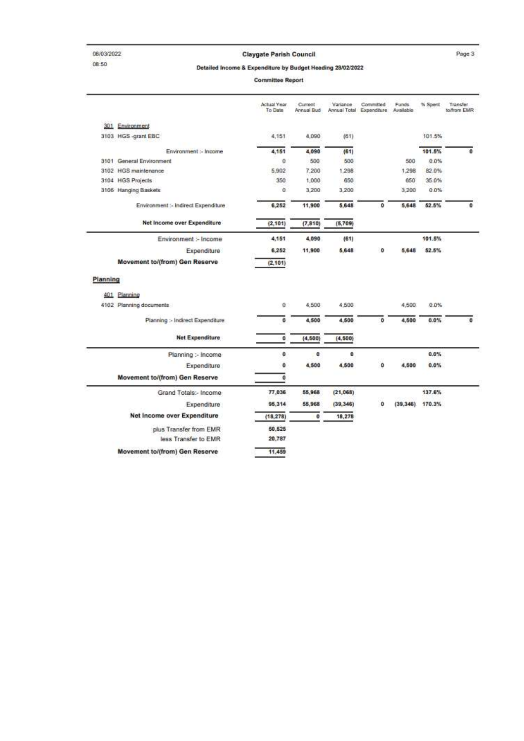08/03/2022 08:50

#### **Claygate Parish Council**

Page 3

Detailed Income & Expenditure by Budget Heading 28/02/2022

**Committee Report** 

|          |                                     | Actual Year<br>To Date | Current<br>Annual Bud | Variance  | Committed<br>Annual Total Expenditure | Funds<br>Available | % Spent | <b>Transfer</b><br>to/from EMR |
|----------|-------------------------------------|------------------------|-----------------------|-----------|---------------------------------------|--------------------|---------|--------------------------------|
|          | 301 Environment                     |                        |                       |           |                                       |                    |         |                                |
|          | 3103 HGS -grant EBC                 | 4.151                  | 4.090                 | (61)      |                                       |                    | 101.5%  |                                |
|          | Environment :- Income               | 4.151                  | 4,090                 | (61)      |                                       |                    | 101.5%  | o                              |
|          | 3101 General Environment            | ū                      | 500                   | 500       |                                       | 500                | 0.0%    |                                |
|          | 3102 HGS maintenance                | 5,902                  | 7,200                 | 1,298     |                                       | 1,298              | 82.0%   |                                |
|          | 3104 HGS Projects                   | 350                    | 1.000                 | 650       |                                       | 650                | 35.0%   |                                |
|          | 3106 Hanging Baskets                | ö                      | 3.200                 | 3,200     |                                       | 3,200              | 0.0%    |                                |
|          | Environment :- Indirect Expenditure | 6.252                  | 11,900                | 5,648     | ۰                                     | 5,648              | 52.5%   | ۰                              |
|          | Net Income over Expenditure         | (2, 101)               | (7, 810)              | (5,709)   |                                       |                    |         |                                |
|          | Environment :- Income               | 4,151                  | 4.090                 | (61)      |                                       |                    | 101.5%  |                                |
|          | Expenditure                         | 6.252                  | 11,900                | 5,648     | ō                                     | 5,648              | 52.5%   |                                |
|          | Movement to/(from) Gen Reserve      | (2, 101)               |                       |           |                                       |                    |         |                                |
| Planning |                                     |                        |                       |           |                                       |                    |         |                                |
|          | 401 Planning                        |                        |                       |           |                                       |                    |         |                                |
|          | 4102 Planning documents             | ū                      | 4,500                 | 4,500     |                                       | 4,500              | $0.0\%$ |                                |
|          | Planning :- Indirect Expenditure    | ٥                      | 4,500                 | 4,500     | o                                     | 4,500              | $0.0\%$ | ٥                              |
|          | Net Expenditure                     | Ó                      | (4, 600)              | (4, 500)  |                                       |                    |         |                                |
|          | Planning :- Income                  | o                      | o                     | 0         |                                       |                    | 0.0%    |                                |
|          | Expenditure                         | ٥                      | 4,500                 | 4,500     | O                                     | 4,500              | 0.0%    |                                |
|          | Movement to/(from) Gen Reserve      | 0                      |                       |           |                                       |                    |         |                                |
|          | Grand Totals:- Income               | 77.036                 | 55.968                | (21, 068) |                                       |                    | 137.6%  |                                |
|          | <b>Expenditure</b>                  | 95,314                 | 55,968                | (39, 346) | O                                     | (39, 346)          | 170.3%  |                                |
|          |                                     |                        |                       |           |                                       |                    |         |                                |
|          | Net Income over Expenditure         | (18, 278)              | $^{\circ}$            | 18,278    |                                       |                    |         |                                |
|          | plus Transfer from EMR              | 50.525                 |                       |           |                                       |                    |         |                                |
|          | less Transfer to EMR                | 20,787                 |                       |           |                                       |                    |         |                                |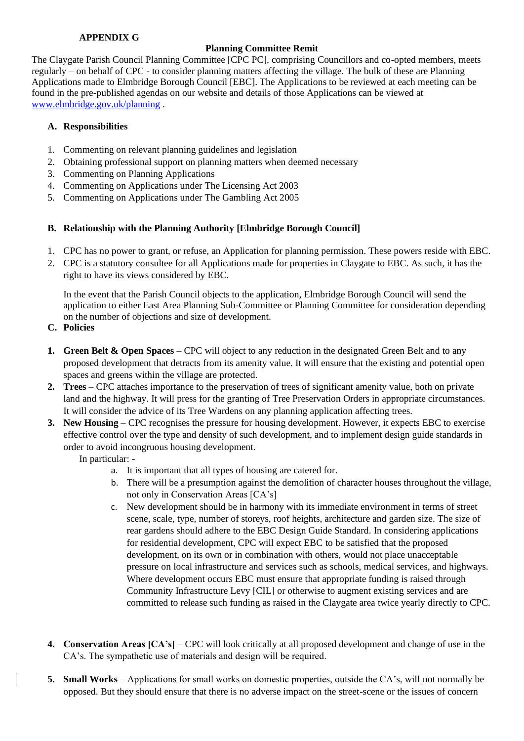## **APPENDIX G**

## **Planning Committee Remit**

The Claygate Parish Council Planning Committee [CPC PC], comprising Councillors and co-opted members, meets regularly – on behalf of CPC - to consider planning matters affecting the village. The bulk of these are Planning Applications made to Elmbridge Borough Council [EBC]. The Applications to be reviewed at each meeting can be found in the pre-published agendas on our website and details of those Applications can be viewed at [www.elmbridge.gov.uk/planning](http://www.elmbridge.gov.uk/planning) .

## **A. Responsibilities**

- 1. Commenting on relevant planning guidelines and legislation
- 2. Obtaining professional support on planning matters when deemed necessary
- 3. Commenting on Planning Applications
- 4. Commenting on Applications under The Licensing Act 2003
- 5. Commenting on Applications under The Gambling Act 2005

## **B. Relationship with the Planning Authority [Elmbridge Borough Council]**

- 1. CPC has no power to grant, or refuse, an Application for planning permission. These powers reside with EBC.
- 2. CPC is a statutory consultee for all Applications made for properties in Claygate to EBC. As such, it has the right to have its views considered by EBC.

In the event that the Parish Council objects to the application, Elmbridge Borough Council will send the application to either East Area Planning Sub-Committee or Planning Committee for consideration depending on the number of objections and size of development.

- **C. Policies**
- **1. Green Belt & Open Spaces** CPC will object to any reduction in the designated Green Belt and to any proposed development that detracts from its amenity value. It will ensure that the existing and potential open spaces and greens within the village are protected.
- **2. Trees** CPC attaches importance to the preservation of trees of significant amenity value, both on private land and the highway. It will press for the granting of Tree Preservation Orders in appropriate circumstances. It will consider the advice of its Tree Wardens on any planning application affecting trees.
- **3. New Housing** CPC recognises the pressure for housing development. However, it expects EBC to exercise effective control over the type and density of such development, and to implement design guide standards in order to avoid incongruous housing development.

In particular: -

- a. It is important that all types of housing are catered for.
- b. There will be a presumption against the demolition of character houses throughout the village, not only in Conservation Areas [CA's]
- c. New development should be in harmony with its immediate environment in terms of street scene, scale, type, number of storeys, roof heights, architecture and garden size. The size of rear gardens should adhere to the EBC Design Guide Standard. In considering applications for residential development, CPC will expect EBC to be satisfied that the proposed development, on its own or in combination with others, would not place unacceptable pressure on local infrastructure and services such as schools, medical services, and highways. Where development occurs EBC must ensure that appropriate funding is raised through Community Infrastructure Levy [CIL] or otherwise to augment existing services and are committed to release such funding as raised in the Claygate area twice yearly directly to CPC.
- **4. Conservation Areas [CA's]** CPC will look critically at all proposed development and change of use in the CA's. The sympathetic use of materials and design will be required.
- **5. Small Works** Applications for small works on domestic properties, outside the CA's, will not normally be opposed. But they should ensure that there is no adverse impact on the street-scene or the issues of concern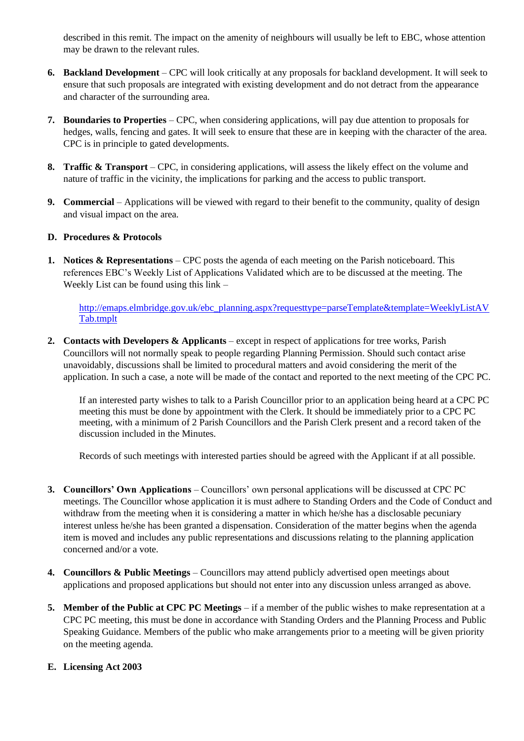described in this remit. The impact on the amenity of neighbours will usually be left to EBC, whose attention may be drawn to the relevant rules.

- **6. Backland Development** CPC will look critically at any proposals for backland development. It will seek to ensure that such proposals are integrated with existing development and do not detract from the appearance and character of the surrounding area.
- **7. Boundaries to Properties** CPC, when considering applications, will pay due attention to proposals for hedges, walls, fencing and gates. It will seek to ensure that these are in keeping with the character of the area. CPC is in principle to gated developments.
- **8. Traffic & Transport** CPC, in considering applications, will assess the likely effect on the volume and nature of traffic in the vicinity, the implications for parking and the access to public transport.
- **9. Commercial** Applications will be viewed with regard to their benefit to the community, quality of design and visual impact on the area.

## **D. Procedures & Protocols**

**1. Notices & Representations** – CPC posts the agenda of each meeting on the Parish noticeboard. This references EBC's Weekly List of Applications Validated which are to be discussed at the meeting. The Weekly List can be found using this link –

[http://emaps.elmbridge.gov.uk/ebc\\_planning.aspx?requesttype=parseTemplate&template=WeeklyListAV](http://emaps.elmbridge.gov.uk/ebc_planning.aspx?requesttype=parseTemplate&template=WeeklyListAVTab.tmplt) [Tab.tmplt](http://emaps.elmbridge.gov.uk/ebc_planning.aspx?requesttype=parseTemplate&template=WeeklyListAVTab.tmplt)

**2. Contacts with Developers & Applicants** – except in respect of applications for tree works, Parish Councillors will not normally speak to people regarding Planning Permission. Should such contact arise unavoidably, discussions shall be limited to procedural matters and avoid considering the merit of the application. In such a case, a note will be made of the contact and reported to the next meeting of the CPC PC.

If an interested party wishes to talk to a Parish Councillor prior to an application being heard at a CPC PC meeting this must be done by appointment with the Clerk. It should be immediately prior to a CPC PC meeting, with a minimum of 2 Parish Councillors and the Parish Clerk present and a record taken of the discussion included in the Minutes.

Records of such meetings with interested parties should be agreed with the Applicant if at all possible.

- **3. Councillors' Own Applications** Councillors' own personal applications will be discussed at CPC PC meetings. The Councillor whose application it is must adhere to Standing Orders and the Code of Conduct and withdraw from the meeting when it is considering a matter in which he/she has a disclosable pecuniary interest unless he/she has been granted a dispensation. Consideration of the matter begins when the agenda item is moved and includes any public representations and discussions relating to the planning application concerned and/or a vote.
- **4. Councillors & Public Meetings**  Councillors may attend publicly advertised open meetings about applications and proposed applications but should not enter into any discussion unless arranged as above.
- **5. Member of the Public at CPC PC Meetings** if a member of the public wishes to make representation at a CPC PC meeting, this must be done in accordance with Standing Orders and the Planning Process and Public Speaking Guidance. Members of the public who make arrangements prior to a meeting will be given priority on the meeting agenda.

## **E. Licensing Act 2003**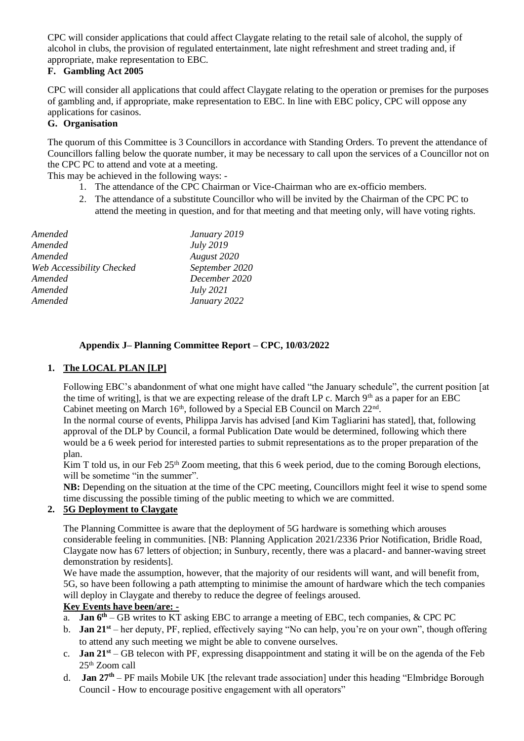CPC will consider applications that could affect Claygate relating to the retail sale of alcohol, the supply of alcohol in clubs, the provision of regulated entertainment, late night refreshment and street trading and, if appropriate, make representation to EBC.

## **F. Gambling Act 2005**

CPC will consider all applications that could affect Claygate relating to the operation or premises for the purposes of gambling and, if appropriate, make representation to EBC. In line with EBC policy, CPC will oppose any applications for casinos.

## **G. Organisation**

The quorum of this Committee is 3 Councillors in accordance with Standing Orders. To prevent the attendance of Councillors falling below the quorate number, it may be necessary to call upon the services of a Councillor not on the CPC PC to attend and vote at a meeting.

This may be achieved in the following ways: -

- 1. The attendance of the CPC Chairman or Vice-Chairman who are ex-officio members.
- 2. The attendance of a substitute Councillor who will be invited by the Chairman of the CPC PC to attend the meeting in question, and for that meeting and that meeting only, will have voting rights.

| Amended                   | January 2019     |
|---------------------------|------------------|
| Amended                   | July 2019        |
| Amended                   | August 2020      |
| Web Accessibility Checked | September 2020   |
| Amended                   | December 2020    |
| Amended                   | <i>July</i> 2021 |
| Amended                   | January 2022     |

## **Appendix J– Planning Committee Report – CPC, 10/03/2022**

## **1. The LOCAL PLAN [LP]**

Following EBC's abandonment of what one might have called "the January schedule", the current position [at the time of writing], is that we are expecting release of the draft LP c. March  $9<sup>th</sup>$  as a paper for an EBC Cabinet meeting on March  $16<sup>th</sup>$ , followed by a Special EB Council on March  $22<sup>nd</sup>$ .

In the normal course of events, Philippa Jarvis has advised [and Kim Tagliarini has stated], that, following approval of the DLP by Council, a formal Publication Date would be determined, following which there would be a 6 week period for interested parties to submit representations as to the proper preparation of the plan.

Kim T told us, in our Feb  $25<sup>th</sup>$  Zoom meeting, that this 6 week period, due to the coming Borough elections, will be sometime "in the summer".

**NB:** Depending on the situation at the time of the CPC meeting, Councillors might feel it wise to spend some time discussing the possible timing of the public meeting to which we are committed.

## **2. 5G Deployment to Claygate**

The Planning Committee is aware that the deployment of 5G hardware is something which arouses considerable feeling in communities. [NB: Planning Application 2021/2336 Prior Notification, Bridle Road, Claygate now has 67 letters of objection; in Sunbury, recently, there was a placard- and banner-waving street demonstration by residents].

We have made the assumption, however, that the majority of our residents will want, and will benefit from, 5G, so have been following a path attempting to minimise the amount of hardware which the tech companies will deploy in Claygate and thereby to reduce the degree of feelings aroused.

## **Key Events have been/are: -**

- a. **Jan 6th** GB writes to KT asking EBC to arrange a meeting of EBC, tech companies, & CPC PC
- b. **Jan 21st** her deputy, PF, replied, effectively saying "No can help, you're on your own", though offering to attend any such meeting we might be able to convene ourselves.
- c. **Jan 21st** GB telecon with PF, expressing disappointment and stating it will be on the agenda of the Feb 25th Zoom call
- d. **Jan 27th** PF mails Mobile UK [the relevant trade association] under this heading "Elmbridge Borough Council - How to encourage positive engagement with all operators"